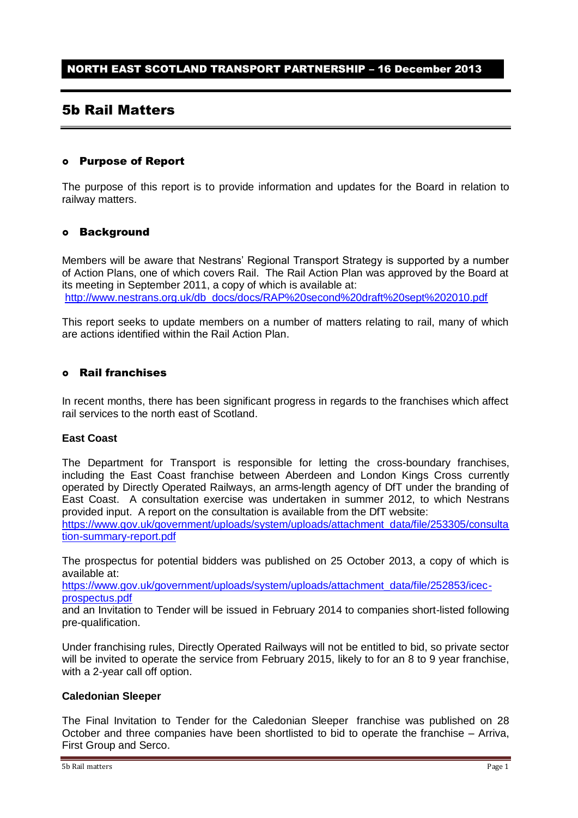# 5b Rail Matters

### Purpose of Report

The purpose of this report is to provide information and updates for the Board in relation to railway matters.

### Background

Members will be aware that Nestrans' Regional Transport Strategy is supported by a number of Action Plans, one of which covers Rail. The Rail Action Plan was approved by the Board at its meeting in September 2011, a copy of which is available at: [http://www.nestrans.org.uk/db\\_docs/docs/RAP%20second%20draft%20sept%202010.pdf](http://www.nestrans.org.uk/db_docs/docs/RAP%20second%20draft%20sept%202010.pdf)

This report seeks to update members on a number of matters relating to rail, many of which are actions identified within the Rail Action Plan.

## Rail franchises

In recent months, there has been significant progress in regards to the franchises which affect rail services to the north east of Scotland.

#### **East Coast**

The Department for Transport is responsible for letting the cross-boundary franchises, including the East Coast franchise between Aberdeen and London Kings Cross currently operated by Directly Operated Railways, an arms-length agency of DfT under the branding of East Coast. A consultation exercise was undertaken in summer 2012, to which Nestrans provided input. A report on the consultation is available from the DfT website: [https://www.gov.uk/government/uploads/system/uploads/attachment\\_data/file/253305/consulta](https://www.gov.uk/government/uploads/system/uploads/attachment_data/file/253305/consultation-summary-report.pdf) [tion-summary-report.pdf](https://www.gov.uk/government/uploads/system/uploads/attachment_data/file/253305/consultation-summary-report.pdf)

The prospectus for potential bidders was published on 25 October 2013, a copy of which is available at:

[https://www.gov.uk/government/uploads/system/uploads/attachment\\_data/file/252853/icec](https://www.gov.uk/government/uploads/system/uploads/attachment_data/file/252853/icec-prospectus.pdf)[prospectus.pdf](https://www.gov.uk/government/uploads/system/uploads/attachment_data/file/252853/icec-prospectus.pdf)

and an Invitation to Tender will be issued in February 2014 to companies short-listed following pre-qualification.

Under franchising rules, Directly Operated Railways will not be entitled to bid, so private sector will be invited to operate the service from February 2015, likely to for an 8 to 9 year franchise, with a 2-year call off option.

#### **Caledonian Sleeper**

The Final Invitation to Tender for the Caledonian Sleeper franchise was published on 28 October and three companies have been shortlisted to bid to operate the franchise – Arriva, First Group and Serco.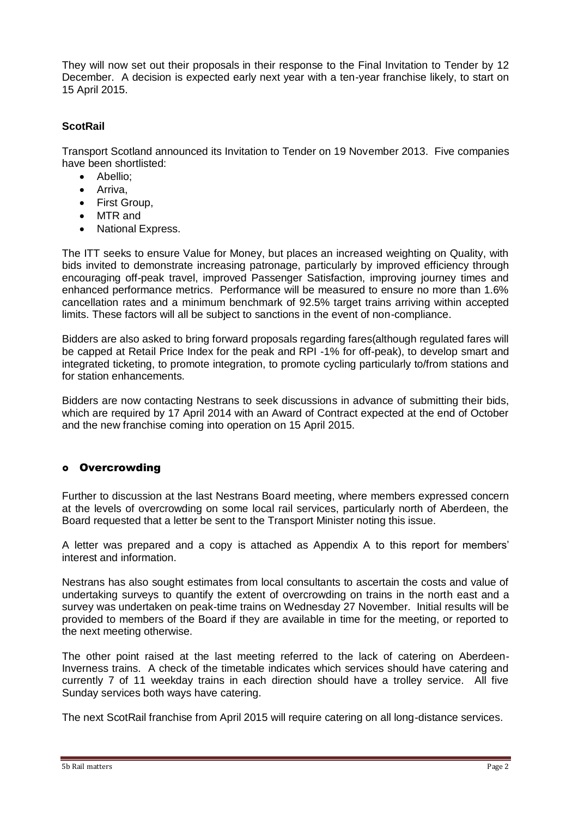They will now set out their proposals in their response to the Final Invitation to Tender by 12 December. A decision is expected early next year with a ten-year franchise likely, to start on 15 April 2015.

## **ScotRail**

Transport Scotland announced its Invitation to Tender on 19 November 2013. Five companies have been shortlisted:

- Abellio:
- Arriva,
- First Group,
- MTR and
- National Express.

The ITT seeks to ensure Value for Money, but places an increased weighting on Quality, with bids invited to demonstrate increasing patronage, particularly by improved efficiency through encouraging off-peak travel, improved Passenger Satisfaction, improving journey times and enhanced performance metrics. Performance will be measured to ensure no more than 1.6% cancellation rates and a minimum benchmark of 92.5% target trains arriving within accepted limits. These factors will all be subject to sanctions in the event of non-compliance.

Bidders are also asked to bring forward proposals regarding fares(although regulated fares will be capped at Retail Price Index for the peak and RPI -1% for off-peak), to develop smart and integrated ticketing, to promote integration, to promote cycling particularly to/from stations and for station enhancements.

Bidders are now contacting Nestrans to seek discussions in advance of submitting their bids, which are required by 17 April 2014 with an Award of Contract expected at the end of October and the new franchise coming into operation on 15 April 2015.

## o Overcrowding

Further to discussion at the last Nestrans Board meeting, where members expressed concern at the levels of overcrowding on some local rail services, particularly north of Aberdeen, the Board requested that a letter be sent to the Transport Minister noting this issue.

A letter was prepared and a copy is attached as Appendix A to this report for members' interest and information.

Nestrans has also sought estimates from local consultants to ascertain the costs and value of undertaking surveys to quantify the extent of overcrowding on trains in the north east and a survey was undertaken on peak-time trains on Wednesday 27 November. Initial results will be provided to members of the Board if they are available in time for the meeting, or reported to the next meeting otherwise.

The other point raised at the last meeting referred to the lack of catering on Aberdeen-Inverness trains. A check of the timetable indicates which services should have catering and currently 7 of 11 weekday trains in each direction should have a trolley service. All five Sunday services both ways have catering.

The next ScotRail franchise from April 2015 will require catering on all long-distance services.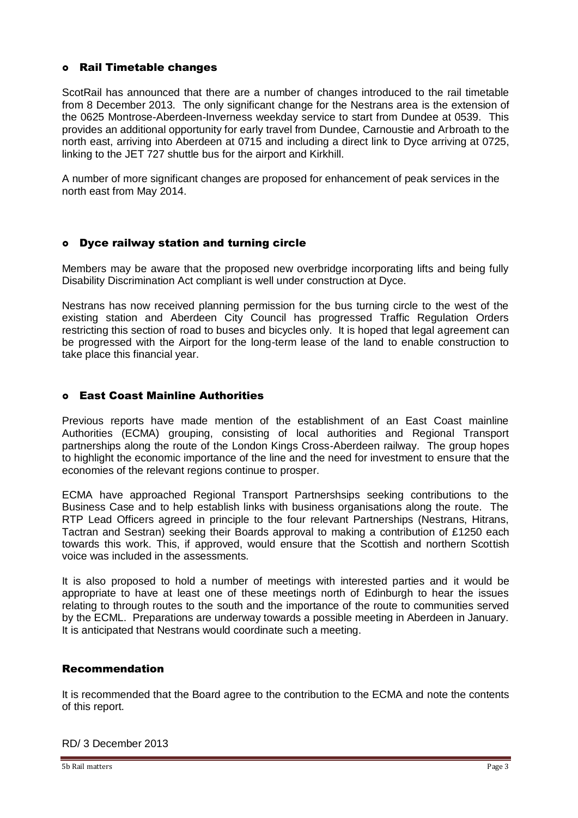## Rail Timetable changes

ScotRail has announced that there are a number of changes introduced to the rail timetable from 8 December 2013. The only significant change for the Nestrans area is the extension of the 0625 Montrose-Aberdeen-Inverness weekday service to start from Dundee at 0539. This provides an additional opportunity for early travel from Dundee, Carnoustie and Arbroath to the north east, arriving into Aberdeen at 0715 and including a direct link to Dyce arriving at 0725, linking to the JET 727 shuttle bus for the airport and Kirkhill.

A number of more significant changes are proposed for enhancement of peak services in the north east from May 2014.

## Dyce railway station and turning circle

Members may be aware that the proposed new overbridge incorporating lifts and being fully Disability Discrimination Act compliant is well under construction at Dyce.

Nestrans has now received planning permission for the bus turning circle to the west of the existing station and Aberdeen City Council has progressed Traffic Regulation Orders restricting this section of road to buses and bicycles only. It is hoped that legal agreement can be progressed with the Airport for the long-term lease of the land to enable construction to take place this financial year.

## East Coast Mainline Authorities

Previous reports have made mention of the establishment of an East Coast mainline Authorities (ECMA) grouping, consisting of local authorities and Regional Transport partnerships along the route of the London Kings Cross-Aberdeen railway. The group hopes to highlight the economic importance of the line and the need for investment to ensure that the economies of the relevant regions continue to prosper.

ECMA have approached Regional Transport Partnershsips seeking contributions to the Business Case and to help establish links with business organisations along the route. The RTP Lead Officers agreed in principle to the four relevant Partnerships (Nestrans, Hitrans, Tactran and Sestran) seeking their Boards approval to making a contribution of £1250 each towards this work. This, if approved, would ensure that the Scottish and northern Scottish voice was included in the assessments.

It is also proposed to hold a number of meetings with interested parties and it would be appropriate to have at least one of these meetings north of Edinburgh to hear the issues relating to through routes to the south and the importance of the route to communities served by the ECML. Preparations are underway towards a possible meeting in Aberdeen in January. It is anticipated that Nestrans would coordinate such a meeting.

### Recommendation

It is recommended that the Board agree to the contribution to the ECMA and note the contents of this report.